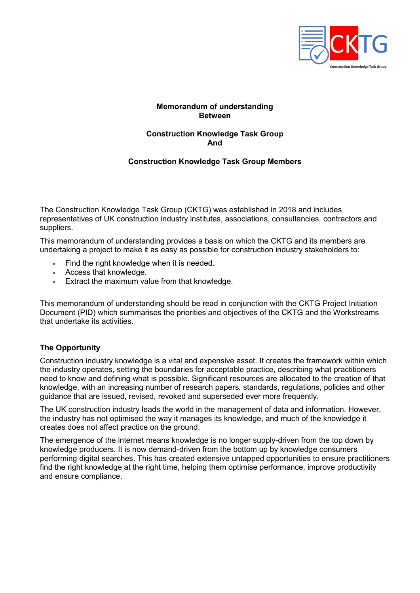

# Memorandum of understanding **Between**

## Construction Knowledge Task Group And

#### Construction Knowledge Task Group Members

The Construction Knowledge Task Group (CKTG) was established in 2018 and includes representatives of UK construction industry institutes, associations, consultancies, contractors and suppliers.

This memorandum of understanding provides a basis on which the CKTG and its members are undertaking a project to make it as easy as possible for construction industry stakeholders to:

- Find the right knowledge when it is needed.
- Access that knowledge.
- Extract the maximum value from that knowledge.

This memorandum of understanding should be read in conjunction with the CKTG Project Initiation Document (PID) which summarises the priorities and objectives of the CKTG and the Workstreams that undertake its activities.

# The Opportunity

Construction industry knowledge is a vital and expensive asset. It creates the framework within which the industry operates, setting the boundaries for acceptable practice, describing what practitioners need to know and defining what is possible. Significant resources are allocated to the creation of that knowledge, with an increasing number of research papers, standards, regulations, policies and other guidance that are issued, revised, revoked and superseded ever more frequently.

The UK construction industry leads the world in the management of data and information. However, the industry has not optimised the way it manages its knowledge, and much of the knowledge it creates does not affect practice on the ground.

The emergence of the internet means knowledge is no longer supply-driven from the top down by knowledge producers. It is now demand-driven from the bottom up by knowledge consumers performing digital searches. This has created extensive untapped opportunities to ensure practitioners find the right knowledge at the right time, helping them optimise performance, improve productivity and ensure compliance.